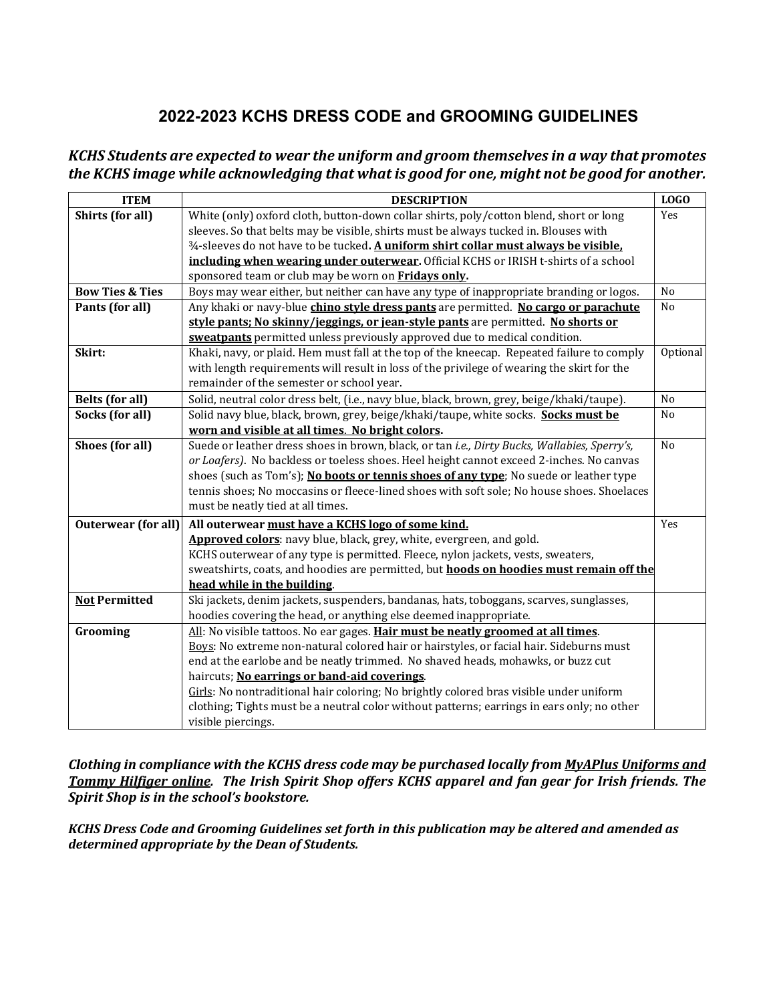## **2022-2023 KCHS DRESS CODE and GROOMING GUIDELINES**

## *KCHS Students are expected to wear the uniform and groom themselves in a way that promotes the KCHS image while acknowledging that what is good for one, might not be good for another.*

| <b>ITEM</b>                | <b>DESCRIPTION</b>                                                                              | <b>LOGO</b>    |
|----------------------------|-------------------------------------------------------------------------------------------------|----------------|
| Shirts (for all)           | White (only) oxford cloth, button-down collar shirts, poly/cotton blend, short or long          | Yes            |
|                            | sleeves. So that belts may be visible, shirts must be always tucked in. Blouses with            |                |
|                            | $\frac{3}{4}$ -sleeves do not have to be tucked. A uniform shirt collar must always be visible. |                |
|                            | including when wearing under outerwear. Official KCHS or IRISH t-shirts of a school             |                |
|                            | sponsored team or club may be worn on Fridays only.                                             |                |
| <b>Bow Ties &amp; Ties</b> | Boys may wear either, but neither can have any type of inappropriate branding or logos.         | No             |
| Pants (for all)            | Any khaki or navy-blue <i>chino style dress pants</i> are permitted. No cargo or parachute      | No             |
|                            | style pants; No skinny/jeggings, or jean-style pants are permitted. No shorts or                |                |
|                            | sweatpants permitted unless previously approved due to medical condition.                       |                |
| Skirt:                     | Khaki, navy, or plaid. Hem must fall at the top of the kneecap. Repeated failure to comply      | Optional       |
|                            | with length requirements will result in loss of the privilege of wearing the skirt for the      |                |
|                            | remainder of the semester or school year.                                                       |                |
| <b>Belts</b> (for all)     | Solid, neutral color dress belt, (i.e., navy blue, black, brown, grey, beige/khaki/taupe).      | N <sub>o</sub> |
| Socks (for all)            | Solid navy blue, black, brown, grey, beige/khaki/taupe, white socks. Socks must be              | N <sub>0</sub> |
|                            | worn and visible at all times. No bright colors.                                                |                |
| Shoes (for all)            | Suede or leather dress shoes in brown, black, or tan i.e., Dirty Bucks, Wallabies, Sperry's,    | N <sub>o</sub> |
|                            | or Loafers). No backless or toeless shoes. Heel height cannot exceed 2-inches. No canvas        |                |
|                            | shoes (such as Tom's); No boots or tennis shoes of any type; No suede or leather type           |                |
|                            | tennis shoes; No moccasins or fleece-lined shoes with soft sole; No house shoes. Shoelaces      |                |
|                            | must be neatly tied at all times.                                                               |                |
| <b>Outerwear</b> (for all) | All outerwear must have a KCHS logo of some kind.                                               | Yes            |
|                            | Approved colors: navy blue, black, grey, white, evergreen, and gold.                            |                |
|                            | KCHS outerwear of any type is permitted. Fleece, nylon jackets, vests, sweaters,                |                |
|                            | sweatshirts, coats, and hoodies are permitted, but hoods on hoodies must remain off the         |                |
|                            | head while in the building.                                                                     |                |
| <b>Not Permitted</b>       | Ski jackets, denim jackets, suspenders, bandanas, hats, toboggans, scarves, sunglasses,         |                |
|                            | hoodies covering the head, or anything else deemed inappropriate.                               |                |
| Grooming                   | All: No visible tattoos. No ear gages. Hair must be neatly groomed at all times.                |                |
|                            | Boys: No extreme non-natural colored hair or hairstyles, or facial hair. Sideburns must         |                |
|                            | end at the earlobe and be neatly trimmed. No shaved heads, mohawks, or buzz cut                 |                |
|                            | haircuts; No earrings or band-aid coverings.                                                    |                |
|                            | Girls: No nontraditional hair coloring; No brightly colored bras visible under uniform          |                |
|                            | clothing; Tights must be a neutral color without patterns; earrings in ears only; no other      |                |
|                            | visible piercings.                                                                              |                |

*Clothing in compliance with the KCHS dress code may be purchased locally from MyAPlus Uniforms and Tommy Hilfiger online. The Irish Spirit Shop offers KCHS apparel and fan gear for Irish friends. The Spirit Shop is in the school's bookstore.*

*KCHS Dress Code and Grooming Guidelines set forth in this publication may be altered and amended as determined appropriate by the Dean of Students.*